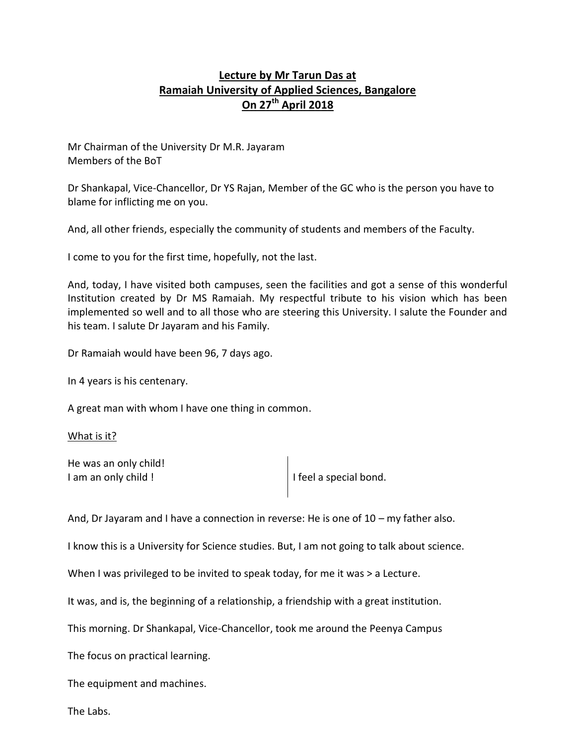# **Lecture by Mr Tarun Das at Ramaiah University of Applied Sciences, Bangalore On 27th April 2018**

Mr Chairman of the University Dr M.R. Jayaram Members of the BoT

Dr Shankapal, Vice-Chancellor, Dr YS Rajan, Member of the GC who is the person you have to blame for inflicting me on you.

And, all other friends, especially the community of students and members of the Faculty.

I come to you for the first time, hopefully, not the last.

And, today, I have visited both campuses, seen the facilities and got a sense of this wonderful Institution created by Dr MS Ramaiah. My respectful tribute to his vision which has been implemented so well and to all those who are steering this University. I salute the Founder and his team. I salute Dr Jayaram and his Family.

Dr Ramaiah would have been 96, 7 days ago.

In 4 years is his centenary.

A great man with whom I have one thing in common.

What is it?

He was an only child! I am an only child !

And, Dr Jayaram and I have a connection in reverse: He is one of 10 – my father also.

I know this is a University for Science studies. But, I am not going to talk about science.

When I was privileged to be invited to speak today, for me it was > a Lecture.

It was, and is, the beginning of a relationship, a friendship with a great institution.

This morning. Dr Shankapal, Vice-Chancellor, took me around the Peenya Campus

The focus on practical learning.

The equipment and machines.

The Labs.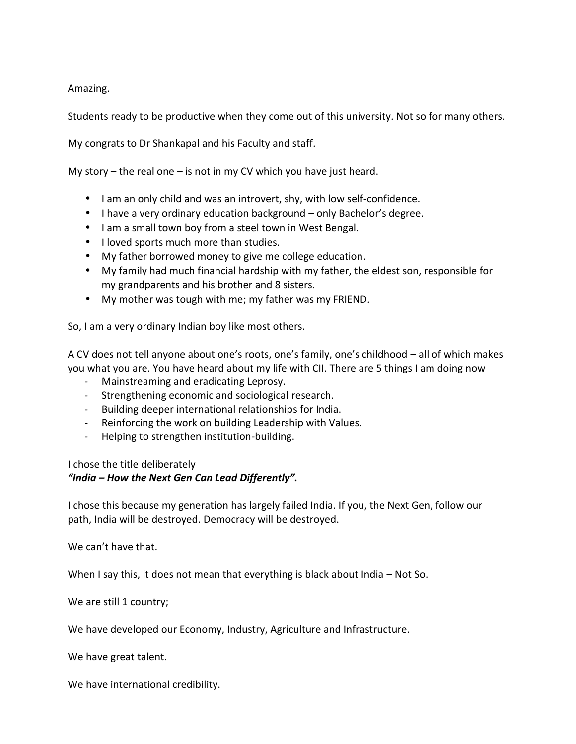Amazing.

Students ready to be productive when they come out of this university. Not so for many others.

My congrats to Dr Shankapal and his Faculty and staff.

My story – the real one – is not in my CV which you have just heard.

- I am an only child and was an introvert, shy, with low self-confidence.
- I have a very ordinary education background  $-$  only Bachelor's degree.
- $\int$  I am a small town boy from a steel town in West Bengal.
- I loved sports much more than studies.
- My father borrowed money to give me college education.
- My family had much financial hardship with my father, the eldest son, responsible for my grandparents and his brother and 8 sisters.
- My mother was tough with me; my father was my FRIEND.

So, I am a very ordinary Indian boy like most others.

A CV does not tell anyone about one's roots, one's family, one's childhood – all of which makes you what you are. You have heard about my life with CII. There are 5 things I am doing now

- Mainstreaming and eradicating Leprosy.
- Strengthening economic and sociological research.
- Building deeper international relationships for India.
- Reinforcing the work on building Leadership with Values.
- Helping to strengthen institution-building.

I chose the title deliberately

# *"India – How the Next Gen Can Lead Differently".*

I chose this because my generation has largely failed India. If you, the Next Gen, follow our path, India will be destroyed. Democracy will be destroyed.

We can't have that.

When I say this, it does not mean that everything is black about India – Not So.

We are still 1 country;

We have developed our Economy, Industry, Agriculture and Infrastructure.

We have great talent.

We have international credibility.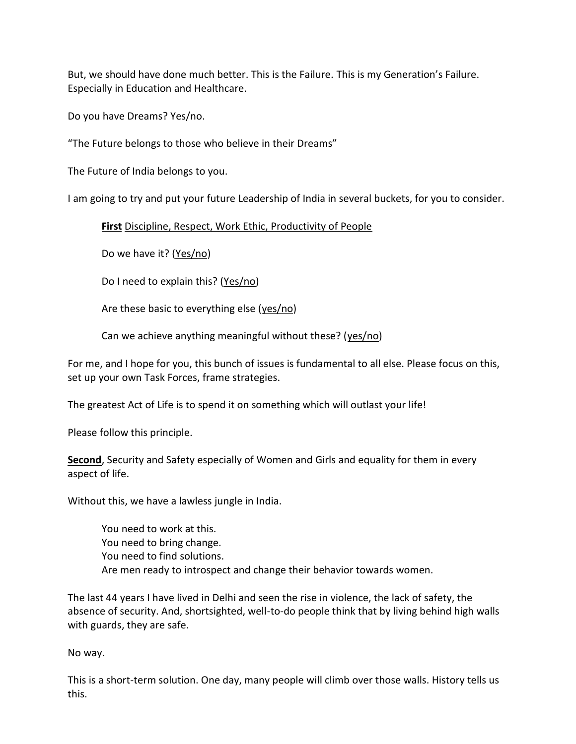But, we should have done much better. This is the Failure. This is my Generation's Failure. Especially in Education and Healthcare.

Do you have Dreams? Yes/no.

"The Future belongs to those who believe in their Dreams"

The Future of India belongs to you.

I am going to try and put your future Leadership of India in several buckets, for you to consider.

**First** Discipline, Respect, Work Ethic, Productivity of People

Do we have it? (Yes/no)

Do I need to explain this? (Yes/no)

Are these basic to everything else (yes/no)

Can we achieve anything meaningful without these? (yes/no)

For me, and I hope for you, this bunch of issues is fundamental to all else. Please focus on this, set up your own Task Forces, frame strategies.

The greatest Act of Life is to spend it on something which will outlast your life!

Please follow this principle.

**Second**, Security and Safety especially of Women and Girls and equality for them in every aspect of life.

Without this, we have a lawless jungle in India.

You need to work at this. You need to bring change. You need to find solutions. Are men ready to introspect and change their behavior towards women.

The last 44 years I have lived in Delhi and seen the rise in violence, the lack of safety, the absence of security. And, shortsighted, well-to-do people think that by living behind high walls with guards, they are safe.

No way.

This is a short-term solution. One day, many people will climb over those walls. History tells us this.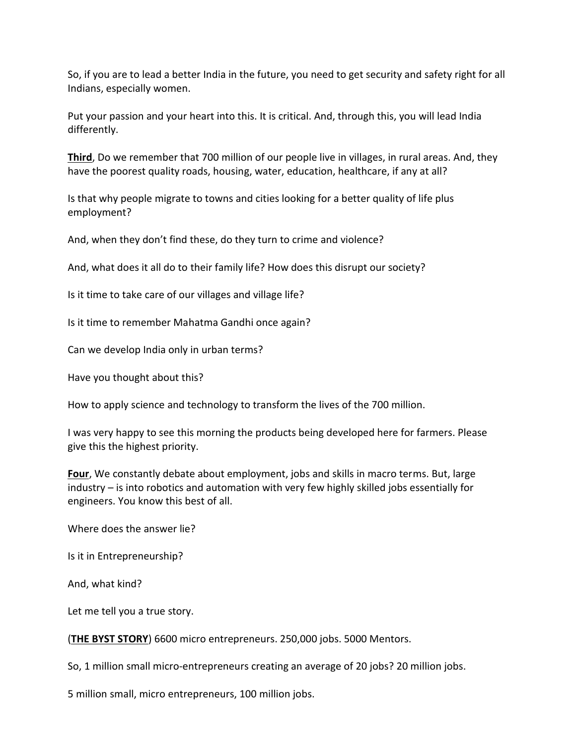So, if you are to lead a better India in the future, you need to get security and safety right for all Indians, especially women.

Put your passion and your heart into this. It is critical. And, through this, you will lead India differently.

**Third**, Do we remember that 700 million of our people live in villages, in rural areas. And, they have the poorest quality roads, housing, water, education, healthcare, if any at all?

Is that why people migrate to towns and cities looking for a better quality of life plus employment?

And, when they don't find these, do they turn to crime and violence?

And, what does it all do to their family life? How does this disrupt our society?

Is it time to take care of our villages and village life?

Is it time to remember Mahatma Gandhi once again?

Can we develop India only in urban terms?

Have you thought about this?

How to apply science and technology to transform the lives of the 700 million.

I was very happy to see this morning the products being developed here for farmers. Please give this the highest priority.

**Four**, We constantly debate about employment, jobs and skills in macro terms. But, large industry – is into robotics and automation with very few highly skilled jobs essentially for engineers. You know this best of all.

Where does the answer lie?

Is it in Entrepreneurship?

And, what kind?

Let me tell you a true story.

(**THE BYST STORY**) 6600 micro entrepreneurs. 250,000 jobs. 5000 Mentors.

So, 1 million small micro-entrepreneurs creating an average of 20 jobs? 20 million jobs.

5 million small, micro entrepreneurs, 100 million jobs.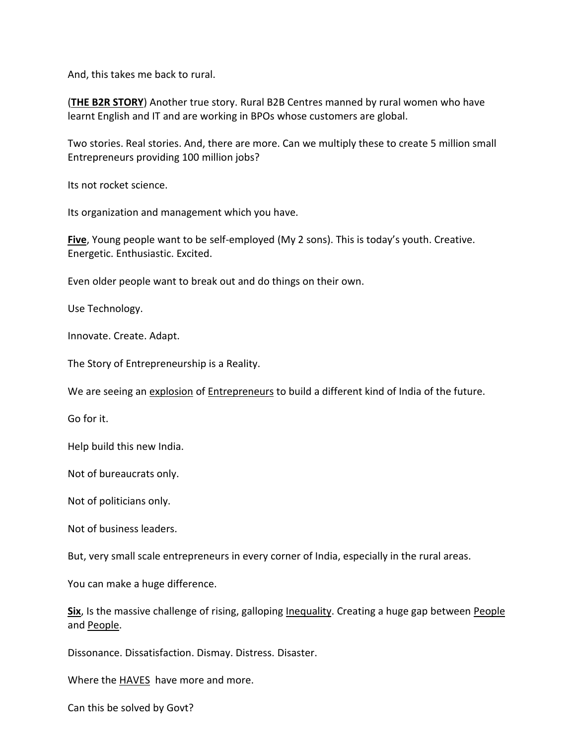And, this takes me back to rural.

(**THE B2R STORY**) Another true story. Rural B2B Centres manned by rural women who have learnt English and IT and are working in BPOs whose customers are global.

Two stories. Real stories. And, there are more. Can we multiply these to create 5 million small Entrepreneurs providing 100 million jobs?

Its not rocket science.

Its organization and management which you have.

**Five**, Young people want to be self-employed (My 2 sons). This is today's youth. Creative. Energetic. Enthusiastic. Excited.

Even older people want to break out and do things on their own.

Use Technology.

Innovate. Create. Adapt.

The Story of Entrepreneurship is a Reality.

We are seeing an explosion of Entrepreneurs to build a different kind of India of the future.

Go for it.

Help build this new India.

Not of bureaucrats only.

Not of politicians only.

Not of business leaders.

But, very small scale entrepreneurs in every corner of India, especially in the rural areas.

You can make a huge difference.

**Six**, Is the massive challenge of rising, galloping Inequality. Creating a huge gap between People and People.

Dissonance. Dissatisfaction. Dismay. Distress. Disaster.

Where the **HAVES** have more and more.

Can this be solved by Govt?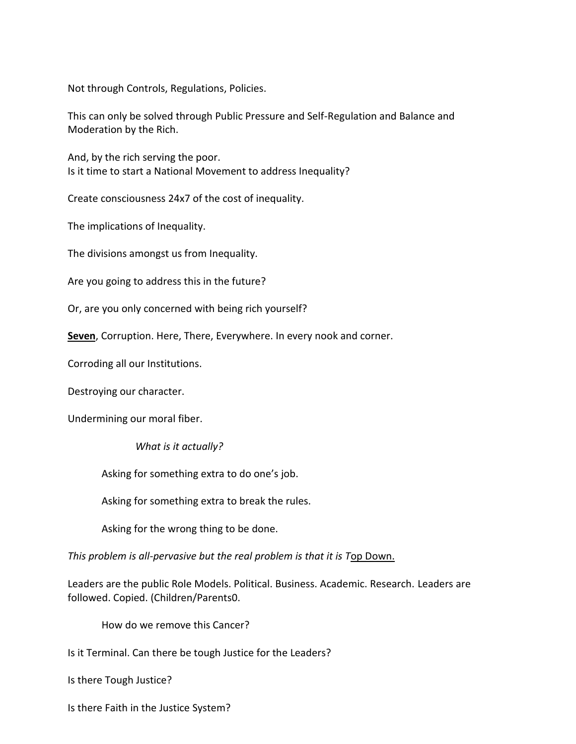Not through Controls, Regulations, Policies.

This can only be solved through Public Pressure and Self-Regulation and Balance and Moderation by the Rich.

And, by the rich serving the poor. Is it time to start a National Movement to address Inequality?

Create consciousness 24x7 of the cost of inequality.

The implications of Inequality.

The divisions amongst us from Inequality.

Are you going to address this in the future?

Or, are you only concerned with being rich yourself?

**Seven**, Corruption. Here, There, Everywhere. In every nook and corner.

Corroding all our Institutions.

Destroying our character.

Undermining our moral fiber.

*What is it actually?*

Asking for something extra to do one's job.

Asking for something extra to break the rules.

Asking for the wrong thing to be done.

*This problem is all-pervasive but the real problem is that it is T*op Down.

Leaders are the public Role Models. Political. Business. Academic. Research. Leaders are followed. Copied. (Children/Parents0.

How do we remove this Cancer?

Is it Terminal. Can there be tough Justice for the Leaders?

Is there Tough Justice?

Is there Faith in the Justice System?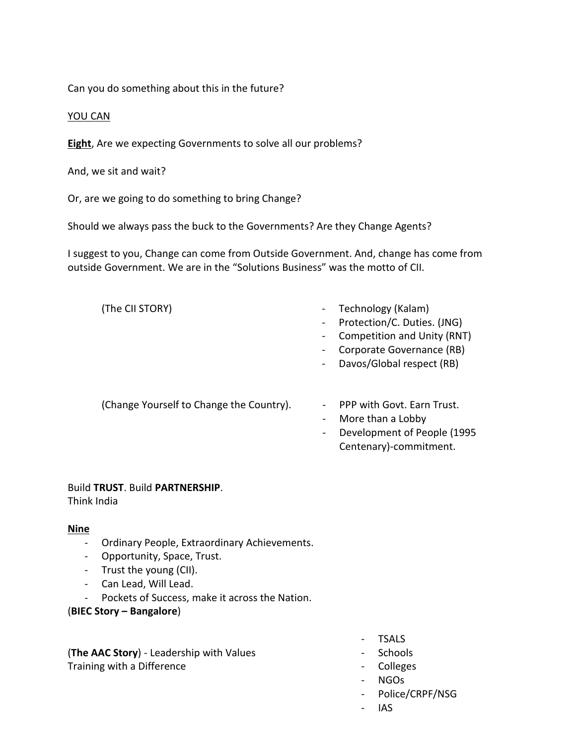Can you do something about this in the future?

#### YOU CAN

**Eight**, Are we expecting Governments to solve all our problems?

And, we sit and wait?

Or, are we going to do something to bring Change?

Should we always pass the buck to the Governments? Are they Change Agents?

I suggest to you, Change can come from Outside Government. And, change has come from outside Government. We are in the "Solutions Business" was the motto of CII.

- (The CII STORY) Technology (Kalam)
	- Protection/C. Duties. (JNG)
	- Competition and Unity (RNT)
	- Corporate Governance (RB)
	- Davos/Global respect (RB)

(Change Yourself to Change the Country). - PPP with Govt. Earn Trust.

- 
- More than a Lobby
- Development of People (1995 Centenary)-commitment.

#### Build **TRUST**. Build **PARTNERSHIP**.

Think India

#### **Nine**

- Ordinary People, Extraordinary Achievements.
- Opportunity, Space, Trust.
- Trust the young (CII).
- Can Lead, Will Lead.
- Pockets of Success, make it across the Nation.

## (**BIEC Story – Bangalore**)

(**The AAC Story**) - Leadership with Values Training with a Difference

- TSALS
- Schools
- Colleges
- NGOs
- Police/CRPF/NSG
- IAS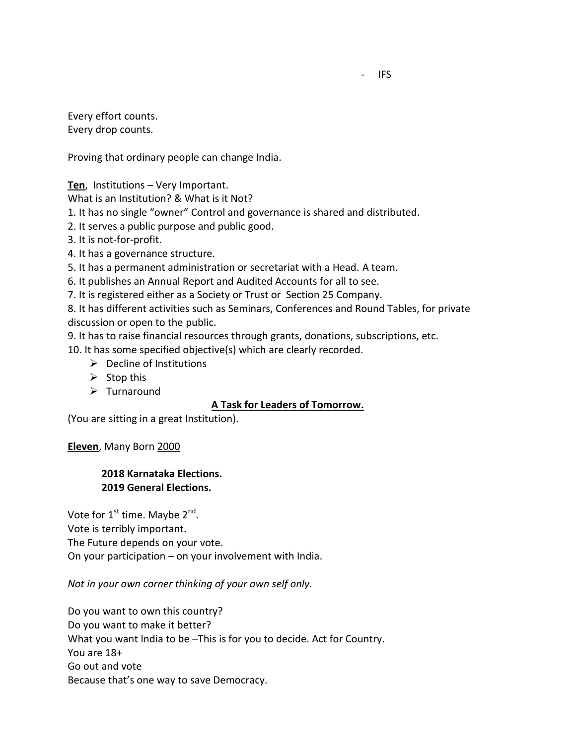Every effort counts. Every drop counts.

Proving that ordinary people can change India.

**Ten**, Institutions – Very Important.

What is an Institution? & What is it Not?

1. It has no single "owner" Control and governance is shared and distributed.

2. It serves a public purpose and public good.

3. It is not-for-profit.

4. It has a governance structure.

5. It has a permanent administration or secretariat with a Head. A team.

6. It publishes an Annual Report and Audited Accounts for all to see.

7. It is registered either as a Society or Trust or Section 25 Company.

8. It has different activities such as Seminars, Conferences and Round Tables, for private discussion or open to the public.

9. It has to raise financial resources through grants, donations, subscriptions, etc.

10. It has some specified objective(s) which are clearly recorded.

 $\triangleright$  Decline of Institutions

 $\triangleright$  Stop this

 $\triangleright$  Turnaround

#### **A Task for Leaders of Tomorrow.**

(You are sitting in a great Institution).

**Eleven**, Many Born 2000

## **2018 Karnataka Elections. 2019 General Elections.**

Vote for 1<sup>st</sup> time. Maybe 2<sup>nd</sup>. Vote is terribly important. The Future depends on your vote.

On your participation – on your involvement with India.

*Not in your own corner thinking of your own self only.*

Do you want to own this country? Do you want to make it better? What you want India to be –This is for you to decide. Act for Country. You are 18+ Go out and vote Because that's one way to save Democracy.